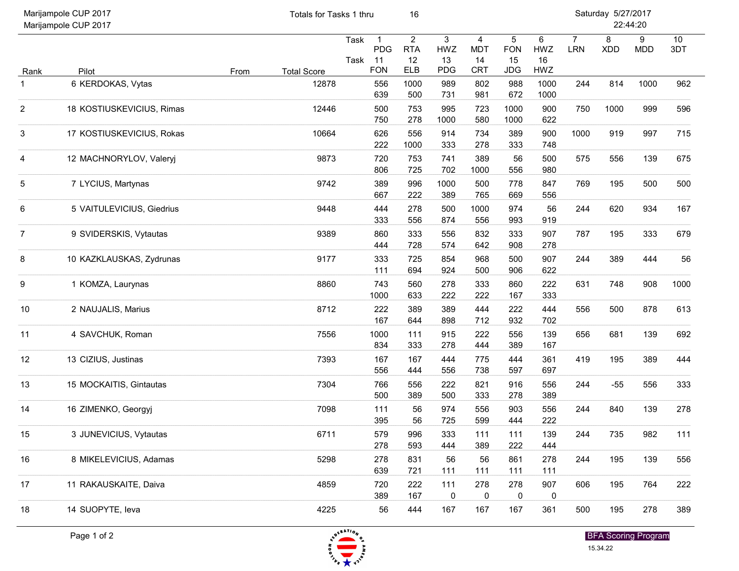| Marijampole CUP 2017<br>Marijampole CUP 2017 |                           |      | Totals for Tasks 1 thru |              |                                                | 16                                               |                              |                                                  | Saturday 5/27/2017<br>22:44:20               |                             |                              |                 |                 |           |  |
|----------------------------------------------|---------------------------|------|-------------------------|--------------|------------------------------------------------|--------------------------------------------------|------------------------------|--------------------------------------------------|----------------------------------------------|-----------------------------|------------------------------|-----------------|-----------------|-----------|--|
| Rank                                         | Pilot                     | From | <b>Total Score</b>      | Task<br>Task | $\mathbf{1}$<br><b>PDG</b><br>11<br><b>FON</b> | $\overline{2}$<br><b>RTA</b><br>12<br><b>ELB</b> | 3<br>HWZ<br>13<br><b>PDG</b> | $\overline{4}$<br><b>MDT</b><br>14<br><b>CRT</b> | $\sqrt{5}$<br><b>FON</b><br>15<br><b>JDG</b> | $\,6\,$<br>HWZ<br>16<br>HWZ | $\overline{7}$<br><b>LRN</b> | 8<br><b>XDD</b> | 9<br><b>MDD</b> | 10<br>3DT |  |
| 1                                            | 6 KERDOKAS, Vytas         |      | 12878                   |              | 556<br>639                                     | 1000<br>500                                      | 989<br>731                   | 802<br>981                                       | 988<br>672                                   | 1000<br>1000                | 244                          | 814             | 1000            | 962       |  |
| 2                                            | 18 KOSTIUSKEVICIUS, Rimas |      | 12446                   |              | 500<br>750                                     | 753<br>278                                       | 995<br>1000                  | 723<br>580                                       | 1000<br>1000                                 | 900<br>622                  | 750                          | 1000            | 999             | 596       |  |
| 3                                            | 17 KOSTIUSKEVICIUS, Rokas |      | 10664                   |              | 626<br>222                                     | 556<br>1000                                      | 914<br>333                   | 734<br>278                                       | 389<br>333                                   | 900<br>748                  | 1000                         | 919             | 997             | 715       |  |
| 4                                            | 12 MACHNORYLOV, Valeryj   |      | 9873                    |              | 720<br>806                                     | 753<br>725                                       | 741<br>702                   | 389<br>1000                                      | 56<br>556                                    | 500<br>980                  | 575                          | 556             | 139             | 675       |  |
| 5                                            | 7 LYCIUS, Martynas        |      | 9742                    |              | 389<br>667                                     | 996<br>222                                       | 1000<br>389                  | 500<br>765                                       | 778<br>669                                   | 847<br>556                  | 769                          | 195             | 500             | 500       |  |
| 6                                            | 5 VAITULEVICIUS, Giedrius |      | 9448                    |              | 444<br>333                                     | 278<br>556                                       | 500<br>874                   | 1000<br>556                                      | 974<br>993                                   | 56<br>919                   | 244                          | 620             | 934             | 167       |  |
|                                              | 9 SVIDERSKIS, Vytautas    |      | 9389                    |              | 860<br>444                                     | 333<br>728                                       | 556<br>574                   | 832<br>642                                       | 333<br>908                                   | 907<br>278                  | 787                          | 195             | 333             | 679       |  |
| 8                                            | 10 KAZKLAUSKAS, Zydrunas  |      | 9177                    |              | 333<br>111                                     | 725<br>694                                       | 854<br>924                   | 968<br>500                                       | 500<br>906                                   | 907<br>622                  | 244                          | 389             | 444             | 56        |  |
| 9                                            | 1 KOMZA, Laurynas         |      | 8860                    |              | 743<br>1000                                    | 560<br>633                                       | 278<br>222                   | 333<br>222                                       | 860<br>167                                   | 222<br>333                  | 631                          | 748             | 908             | 1000      |  |
| 10                                           | 2 NAUJALIS, Marius        |      | 8712                    |              | 222<br>167                                     | 389<br>644                                       | 389<br>898                   | 444<br>712                                       | 222<br>932                                   | 444<br>702                  | 556                          | 500             | 878             | 613       |  |
| 11                                           | 4 SAVCHUK, Roman          |      | 7556                    |              | 1000<br>834                                    | 111<br>333                                       | 915<br>278                   | 222<br>444                                       | 556<br>389                                   | 139<br>167                  | 656                          | 681             | 139             | 692       |  |
| 12                                           | 13 CIZIUS, Justinas       |      | 7393                    |              | 167<br>556                                     | 167<br>444                                       | 444<br>556                   | 775<br>738                                       | 444<br>597                                   | 361<br>697                  | 419                          | 195             | 389             | 444       |  |
| 13                                           | 15 MOCKAITIS, Gintautas   |      | 7304                    |              | 766<br>500                                     | 556<br>389                                       | 222<br>500                   | 821<br>333                                       | 916<br>278                                   | 556<br>389                  | 244                          | $-55$           | 556             | 333       |  |
| 14                                           | 16 ZIMENKO, Georgyj       |      | 7098                    |              | 111<br>395                                     | 56<br>56                                         | 974<br>725                   | 556<br>599                                       | 903<br>444                                   | 556<br>222                  | 244                          | 840             | 139             | 278       |  |
| 15                                           | 3 JUNEVICIUS, Vytautas    |      | 6711                    |              | 579<br>278                                     | 996<br>593                                       | 333<br>444                   | 111<br>389                                       | 111<br>222                                   | 139<br>444                  | 244                          | 735             | 982             | 111       |  |
| 16                                           | 8 MIKELEVICIUS, Adamas    |      | 5298                    |              | 278<br>639                                     | 831<br>721                                       | 56<br>111                    | 56<br>111                                        | 861<br>111                                   | 278<br>111                  | 244                          | 195             | 139             | 556       |  |
| 17                                           | 11 RAKAUSKAITE, Daiva     |      | 4859                    |              | 720<br>389                                     | 222<br>167                                       | 111<br>$\mathbf 0$           | 278<br>0                                         | 278<br>0                                     | 907<br>$\boldsymbol{0}$     | 606                          | 195             | 764             | 222       |  |
| 18                                           | 14 SUOPYTE, leva          |      | 4225                    |              | 56                                             | 444                                              | 167                          | 167                                              | 167                                          | 361                         | 500                          | 195             | 278             | 389       |  |